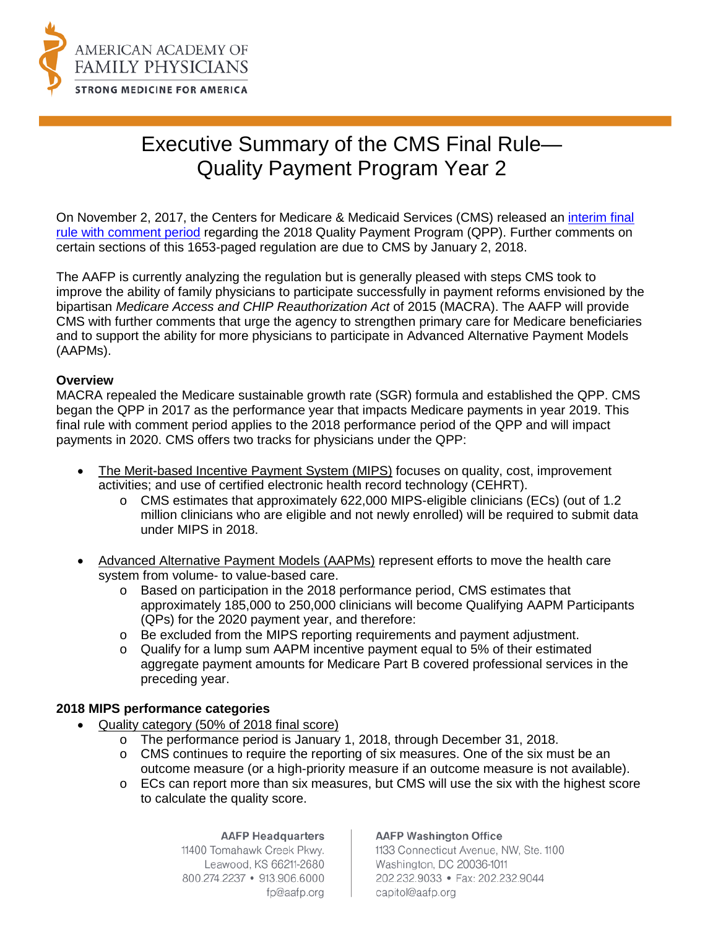

# Executive Summary of the CMS Final Rule— Quality Payment Program Year 2

On November 2, 2017, the Centers for Medicare & Medicaid Services (CMS) released an [interim final](https://s3.amazonaws.com/public-inspection.federalregister.gov/2017-24067.pdf)  [rule with comment period](https://s3.amazonaws.com/public-inspection.federalregister.gov/2017-24067.pdf) regarding the 2018 Quality Payment Program (QPP). Further comments on certain sections of this 1653-paged regulation are due to CMS by January 2, 2018.

The AAFP is currently analyzing the regulation but is generally pleased with steps CMS took to improve the ability of family physicians to participate successfully in payment reforms envisioned by the bipartisan *Medicare Access and CHIP Reauthorization Act* of 2015 (MACRA). The AAFP will provide CMS with further comments that urge the agency to strengthen primary care for Medicare beneficiaries and to support the ability for more physicians to participate in Advanced Alternative Payment Models (AAPMs).

#### **Overview**

MACRA repealed the Medicare sustainable growth rate (SGR) formula and established the QPP. CMS began the QPP in 2017 as the performance year that impacts Medicare payments in year 2019. This final rule with comment period applies to the 2018 performance period of the QPP and will impact payments in 2020. CMS offers two tracks for physicians under the QPP:

- The Merit-based Incentive Payment System (MIPS) focuses on quality, cost, improvement activities; and use of certified electronic health record technology (CEHRT).
	- o CMS estimates that approximately 622,000 MIPS-eligible clinicians (ECs) (out of 1.2 million clinicians who are eligible and not newly enrolled) will be required to submit data under MIPS in 2018.
- Advanced Alternative Payment Models (AAPMs) represent efforts to move the health care system from volume- to value-based care.
	- o Based on participation in the 2018 performance period, CMS estimates that approximately 185,000 to 250,000 clinicians will become Qualifying AAPM Participants (QPs) for the 2020 payment year, and therefore:
	- o Be excluded from the MIPS reporting requirements and payment adjustment.
	- o Qualify for a lump sum AAPM incentive payment equal to 5% of their estimated aggregate payment amounts for Medicare Part B covered professional services in the preceding year.

## **2018 MIPS performance categories**

- Quality category (50% of 2018 final score)
	- o The performance period is January 1, 2018, through December 31, 2018.
	- o CMS continues to require the reporting of six measures. One of the six must be an outcome measure (or a high-priority measure if an outcome measure is not available).
	- $\circ$  ECs can report more than six measures, but CMS will use the six with the highest score to calculate the quality score.

#### **AAFP Headquarters**

11400 Tomahawk Creek Pkwy. Leawood, KS 66211-2680 800.274.2237 • 913.906.6000 fp@aafp.org

#### **AAFP Washington Office**

1133 Connecticut Avenue, NW, Ste. 1100 Washington, DC 20036-1011 202.232.9033 · Fax: 202.232.9044 capitol@aafp.org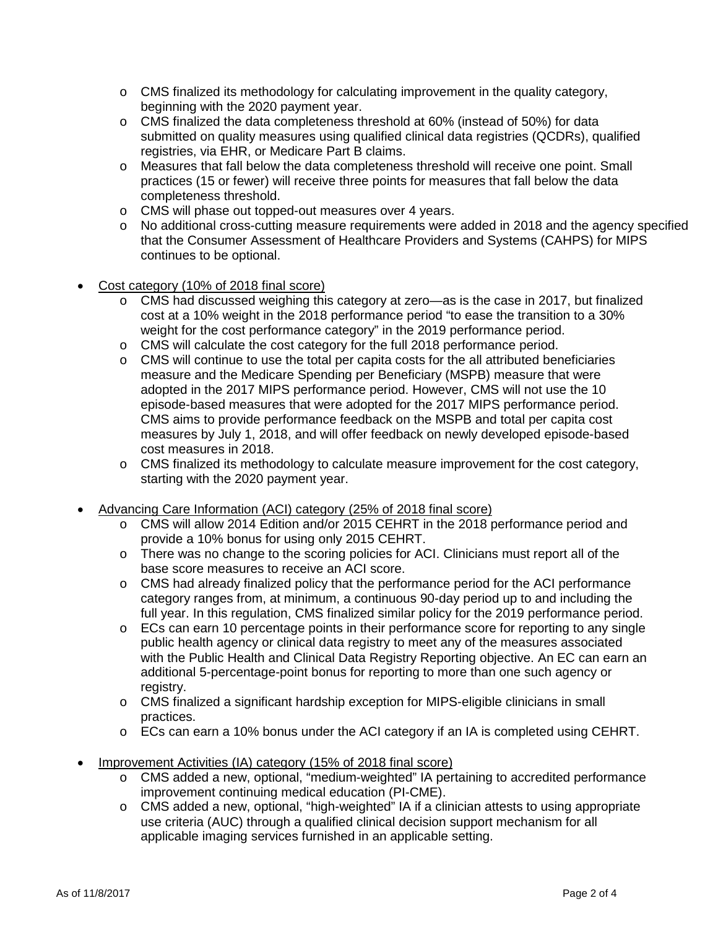- $\circ$  CMS finalized its methodology for calculating improvement in the quality category, beginning with the 2020 payment year.
- $\circ$  CMS finalized the data completeness threshold at 60% (instead of 50%) for data submitted on quality measures using qualified clinical data registries (QCDRs), qualified registries, via EHR, or Medicare Part B claims.
- o Measures that fall below the data completeness threshold will receive one point. Small practices (15 or fewer) will receive three points for measures that fall below the data completeness threshold.
- o CMS will phase out topped-out measures over 4 years.
- o No additional cross-cutting measure requirements were added in 2018 and the agency specified that the Consumer Assessment of Healthcare Providers and Systems (CAHPS) for MIPS continues to be optional.
- Cost category (10% of 2018 final score)
	- o CMS had discussed weighing this category at zero—as is the case in 2017, but finalized cost at a 10% weight in the 2018 performance period "to ease the transition to a 30% weight for the cost performance category" in the 2019 performance period.
	- o CMS will calculate the cost category for the full 2018 performance period.
	- $\circ$  CMS will continue to use the total per capita costs for the all attributed beneficiaries measure and the Medicare Spending per Beneficiary (MSPB) measure that were adopted in the 2017 MIPS performance period. However, CMS will not use the 10 episode-based measures that were adopted for the 2017 MIPS performance period. CMS aims to provide performance feedback on the MSPB and total per capita cost measures by July 1, 2018, and will offer feedback on newly developed episode-based cost measures in 2018.
	- $\circ$  CMS finalized its methodology to calculate measure improvement for the cost category, starting with the 2020 payment year.
- Advancing Care Information (ACI) category (25% of 2018 final score)
	- o CMS will allow 2014 Edition and/or 2015 CEHRT in the 2018 performance period and provide a 10% bonus for using only 2015 CEHRT.
	- o There was no change to the scoring policies for ACI. Clinicians must report all of the base score measures to receive an ACI score.
	- o CMS had already finalized policy that the performance period for the ACI performance category ranges from, at minimum, a continuous 90-day period up to and including the full year. In this regulation, CMS finalized similar policy for the 2019 performance period.
	- o ECs can earn 10 percentage points in their performance score for reporting to any single public health agency or clinical data registry to meet any of the measures associated with the Public Health and Clinical Data Registry Reporting objective. An EC can earn an additional 5-percentage-point bonus for reporting to more than one such agency or registry.
	- o CMS finalized a significant hardship exception for MIPS-eligible clinicians in small practices.
	- $\circ$  ECs can earn a 10% bonus under the ACI category if an IA is completed using CEHRT.
- Improvement Activities (IA) category (15% of 2018 final score)
	- o CMS added a new, optional, "medium-weighted" IA pertaining to accredited performance improvement continuing medical education (PI-CME).
	- o CMS added a new, optional, "high-weighted" IA if a clinician attests to using appropriate use criteria (AUC) through a qualified clinical decision support mechanism for all applicable imaging services furnished in an applicable setting.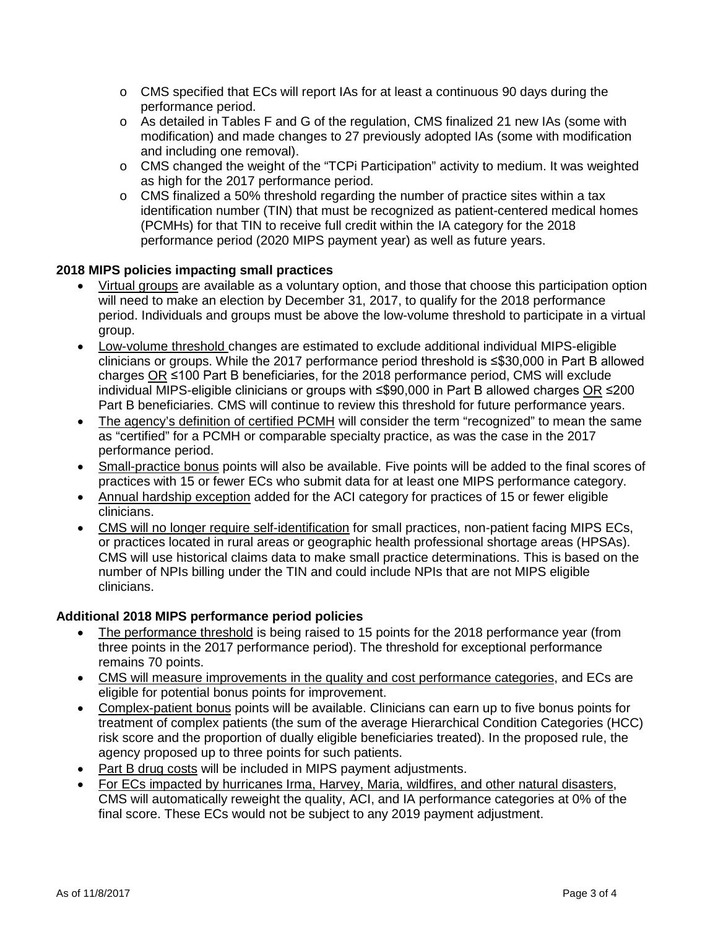- o CMS specified that ECs will report IAs for at least a continuous 90 days during the performance period.
- o As detailed in Tables F and G of the regulation, CMS finalized 21 new IAs (some with modification) and made changes to 27 previously adopted IAs (some with modification and including one removal).
- o CMS changed the weight of the "TCPi Participation" activity to medium. It was weighted as high for the 2017 performance period.
- $\circ$  CMS finalized a 50% threshold regarding the number of practice sites within a tax identification number (TIN) that must be recognized as patient-centered medical homes (PCMHs) for that TIN to receive full credit within the IA category for the 2018 performance period (2020 MIPS payment year) as well as future years.

# **2018 MIPS policies impacting small practices**

- Virtual groups are available as a voluntary option, and those that choose this participation option will need to make an election by December 31, 2017, to qualify for the 2018 performance period. Individuals and groups must be above the low-volume threshold to participate in a virtual group.
- Low-volume threshold changes are estimated to exclude additional individual MIPS-eligible clinicians or groups. While the 2017 performance period threshold is ≤\$30,000 in Part B allowed charges OR ≤100 Part B beneficiaries, for the 2018 performance period, CMS will exclude individual MIPS-eligible clinicians or groups with ≤\$90,000 in Part B allowed charges OR ≤200 Part B beneficiaries. CMS will continue to review this threshold for future performance years.
- The agency's definition of certified PCMH will consider the term "recognized" to mean the same as "certified" for a PCMH or comparable specialty practice, as was the case in the 2017 performance period.
- Small-practice bonus points will also be available. Five points will be added to the final scores of practices with 15 or fewer ECs who submit data for at least one MIPS performance category.
- Annual hardship exception added for the ACI category for practices of 15 or fewer eligible clinicians.
- CMS will no longer require self-identification for small practices, non-patient facing MIPS ECs, or practices located in rural areas or geographic health professional shortage areas (HPSAs). CMS will use historical claims data to make small practice determinations. This is based on the number of NPIs billing under the TIN and could include NPIs that are not MIPS eligible clinicians.

## **Additional 2018 MIPS performance period policies**

- The performance threshold is being raised to 15 points for the 2018 performance year (from three points in the 2017 performance period). The threshold for exceptional performance remains 70 points.
- CMS will measure improvements in the quality and cost performance categories, and ECs are eligible for potential bonus points for improvement.
- Complex-patient bonus points will be available. Clinicians can earn up to five bonus points for treatment of complex patients (the sum of the average Hierarchical Condition Categories (HCC) risk score and the proportion of dually eligible beneficiaries treated). In the proposed rule, the agency proposed up to three points for such patients.
- Part B drug costs will be included in MIPS payment adjustments.
- For ECs impacted by hurricanes Irma, Harvey, Maria, wildfires, and other natural disasters, CMS will automatically reweight the quality, ACI, and IA performance categories at 0% of the final score. These ECs would not be subject to any 2019 payment adjustment.